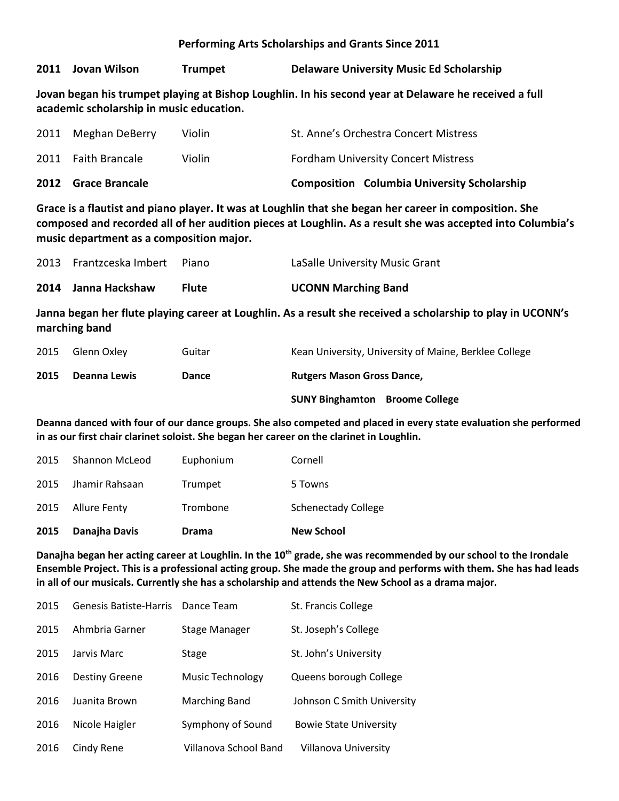**Performing Arts Scholarships and Grants Since 2011**

**2011 Jovan Wilson Trumpet Delaware University Music Ed Scholarship**

**Jovan began his trumpet playing at Bishop Loughlin. In his second year at Delaware he received a full academic scholarship in music education.**

| 2012 Grace Brancale |        | <b>Composition Columbia University Scholarship</b> |
|---------------------|--------|----------------------------------------------------|
| 2011 Faith Brancale | Violin | <b>Fordham University Concert Mistress</b>         |
| 2011 Meghan DeBerry | Violin | St. Anne's Orchestra Concert Mistress              |

**Grace is a flautist and piano player. It was at Loughlin that she began her career in composition. She composed and recorded all of her audition pieces at Loughlin. As a result she was accepted into Columbia's music department as a composition major.**

| 2014 Janna Hackshaw           | <b>Flute</b> | <b>UCONN Marching Band</b>     |
|-------------------------------|--------------|--------------------------------|
| 2013 Frantzceska Imbert Piano |              | LaSalle University Music Grant |

**Janna began her flute playing career at Loughlin. As a result she received a scholarship to play in UCONN's marching band** 

| 2015 | Glenn Oxley  | Guitar | Kean University, University of Maine, Berklee College |  |
|------|--------------|--------|-------------------------------------------------------|--|
| 2015 | Deanna Lewis | Dance  | <b>Rutgers Mason Gross Dance,</b>                     |  |
|      |              |        | <b>SUNY Binghamton</b> Broome College                 |  |

**Deanna danced with four of our dance groups. She also competed and placed in every state evaluation she performed in as our first chair clarinet soloist. She began her career on the clarinet in Loughlin.**

| 2015 | Danajha Davis       | <b>Drama</b> | <b>New School</b>          |
|------|---------------------|--------------|----------------------------|
| 2015 | <b>Allure Fenty</b> | Trombone     | <b>Schenectady College</b> |
| 2015 | Jhamir Rahsaan      | Trumpet      | 5 Towns                    |
| 2015 | Shannon McLeod      | Euphonium    | Cornell                    |

**Danajha began her acting career at Loughlin. In the 10th grade, she was recommended by our school to the Irondale Ensemble Project. This is a professional acting group. She made the group and performs with them. She has had leads in all of our musicals. Currently she has a scholarship and attends the New School as a drama major.**

| 2015 | Genesis Batiste-Harris Dance Team |                         | St. Francis College           |
|------|-----------------------------------|-------------------------|-------------------------------|
| 2015 | Ahmbria Garner                    | Stage Manager           | St. Joseph's College          |
| 2015 | Jarvis Marc                       | <b>Stage</b>            | St. John's University         |
| 2016 | <b>Destiny Greene</b>             | <b>Music Technology</b> | Queens borough College        |
| 2016 | Juanita Brown                     | Marching Band           | Johnson C Smith University    |
| 2016 | Nicole Haigler                    | Symphony of Sound       | <b>Bowie State University</b> |
| 2016 | Cindy Rene                        | Villanova School Band   | Villanova University          |